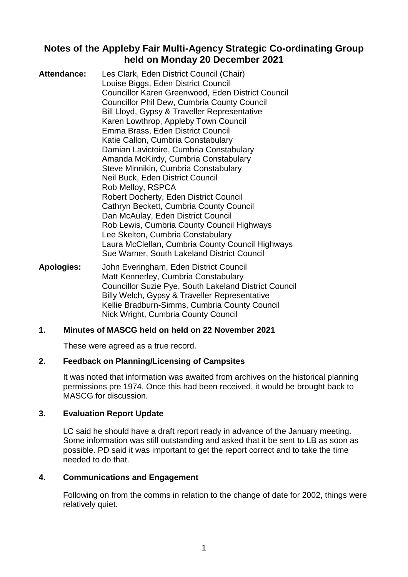# **Notes of the Appleby Fair Multi-Agency Strategic Co-ordinating Group held on Monday 20 December 2021**

| <b>Attendance:</b> | Les Clark, Eden District Council (Chair)                 |
|--------------------|----------------------------------------------------------|
|                    | Louise Biggs, Eden District Council                      |
|                    | <b>Councillor Karen Greenwood, Eden District Council</b> |
|                    | <b>Councillor Phil Dew, Cumbria County Council</b>       |
|                    | Bill Lloyd, Gypsy & Traveller Representative             |
|                    | Karen Lowthrop, Appleby Town Council                     |
|                    | Emma Brass, Eden District Council                        |
|                    | Katie Callon, Cumbria Constabulary                       |
|                    | Damian Lavictoire, Cumbria Constabulary                  |
|                    | Amanda McKirdy, Cumbria Constabulary                     |
|                    | Steve Minnikin, Cumbria Constabulary                     |
|                    | Neil Buck, Eden District Council                         |
|                    | Rob Melloy, RSPCA                                        |
|                    | <b>Robert Docherty, Eden District Council</b>            |
|                    | Cathryn Beckett, Cumbria County Council                  |
|                    | Dan McAulay, Eden District Council                       |
|                    | Rob Lewis, Cumbria County Council Highways               |
|                    | Lee Skelton, Cumbria Constabulary                        |
|                    | Laura McClellan, Cumbria County Council Highways         |
|                    | Sue Warner, South Lakeland District Council              |
|                    |                                                          |

**Apologies:** John Everingham, Eden District Council Matt Kennerley, Cumbria Constabulary Councillor Suzie Pye, South Lakeland District Council Billy Welch, Gypsy & Traveller Representative Kellie Bradburn-Simms, Cumbria County Council Nick Wright, Cumbria County Council

### **1. Minutes of MASCG held on held on 22 November 2021**

These were agreed as a true record.

### **2. Feedback on Planning/Licensing of Campsites**

It was noted that information was awaited from archives on the historical planning permissions pre 1974. Once this had been received, it would be brought back to MASCG for discussion.

### **3. Evaluation Report Update**

LC said he should have a draft report ready in advance of the January meeting. Some information was still outstanding and asked that it be sent to LB as soon as possible. PD said it was important to get the report correct and to take the time needed to do that.

### **4. Communications and Engagement**

Following on from the comms in relation to the change of date for 2002, things were relatively quiet.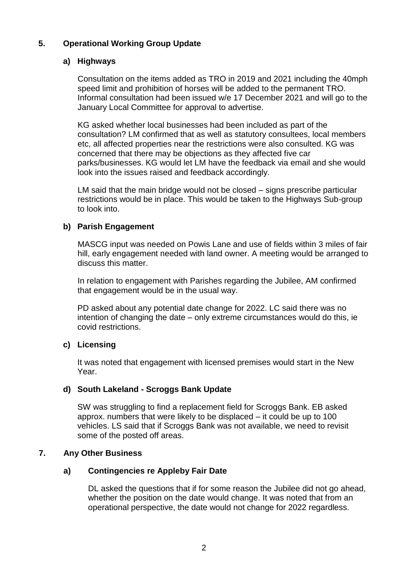# **5. Operational Working Group Update**

### **a) Highways**

Consultation on the items added as TRO in 2019 and 2021 including the 40mph speed limit and prohibition of horses will be added to the permanent TRO. Informal consultation had been issued w/e 17 December 2021 and will go to the January Local Committee for approval to advertise.

KG asked whether local businesses had been included as part of the consultation? LM confirmed that as well as statutory consultees, local members etc, all affected properties near the restrictions were also consulted. KG was concerned that there may be objections as they affected five car parks/businesses. KG would let LM have the feedback via email and she would look into the issues raised and feedback accordingly.

LM said that the main bridge would not be closed – signs prescribe particular restrictions would be in place. This would be taken to the Highways Sub-group to look into.

### **b) Parish Engagement**

MASCG input was needed on Powis Lane and use of fields within 3 miles of fair hill, early engagement needed with land owner. A meeting would be arranged to discuss this matter.

In relation to engagement with Parishes regarding the Jubilee, AM confirmed that engagement would be in the usual way.

PD asked about any potential date change for 2022. LC said there was no intention of changing the date – only extreme circumstances would do this, ie covid restrictions.

# **c) Licensing**

It was noted that engagement with licensed premises would start in the New Year.

### **d) South Lakeland - Scroggs Bank Update**

SW was struggling to find a replacement field for Scroggs Bank. EB asked approx. numbers that were likely to be displaced – it could be up to 100 vehicles. LS said that if Scroggs Bank was not available, we need to revisit some of the posted off areas.

### **7. Any Other Business**

# **a) Contingencies re Appleby Fair Date**

DL asked the questions that if for some reason the Jubilee did not go ahead, whether the position on the date would change. It was noted that from an operational perspective, the date would not change for 2022 regardless.